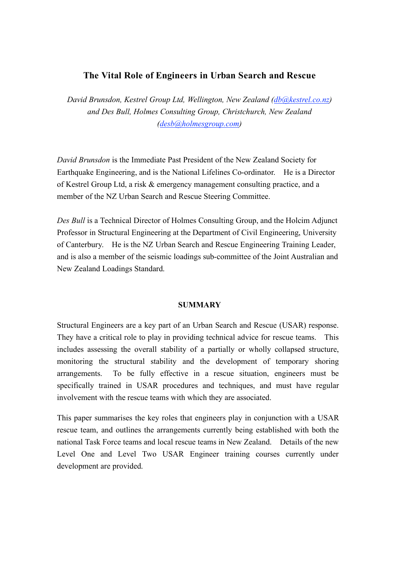# **The Vital Role of Engineers in Urban Search and Rescue**

*David Brunsdon, Kestrel Group Ltd, Wellington, New Zealand (db@kestrel.co.nz) and Des Bull, Holmes Consulting Group, Christchurch, New Zealand (desb@holmesgroup.com)* 

*David Brunsdon* is the Immediate Past President of the New Zealand Society for Earthquake Engineering, and is the National Lifelines Co-ordinator. He is a Director of Kestrel Group Ltd, a risk & emergency management consulting practice, and a member of the NZ Urban Search and Rescue Steering Committee.

*Des Bull* is a Technical Director of Holmes Consulting Group, and the Holcim Adjunct Professor in Structural Engineering at the Department of Civil Engineering, University of Canterbury. He is the NZ Urban Search and Rescue Engineering Training Leader, and is also a member of the seismic loadings sub-committee of the Joint Australian and New Zealand Loadings Standard.

#### **SUMMARY**

Structural Engineers are a key part of an Urban Search and Rescue (USAR) response. They have a critical role to play in providing technical advice for rescue teams. This includes assessing the overall stability of a partially or wholly collapsed structure, monitoring the structural stability and the development of temporary shoring arrangements. To be fully effective in a rescue situation, engineers must be specifically trained in USAR procedures and techniques, and must have regular involvement with the rescue teams with which they are associated.

This paper summarises the key roles that engineers play in conjunction with a USAR rescue team, and outlines the arrangements currently being established with both the national Task Force teams and local rescue teams in New Zealand. Details of the new Level One and Level Two USAR Engineer training courses currently under development are provided.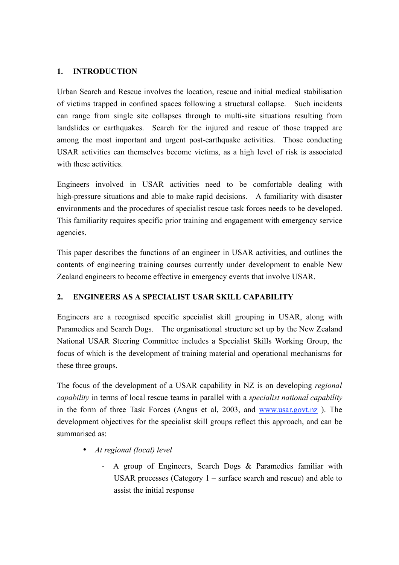### **1. INTRODUCTION**

Urban Search and Rescue involves the location, rescue and initial medical stabilisation of victims trapped in confined spaces following a structural collapse. Such incidents can range from single site collapses through to multi-site situations resulting from landslides or earthquakes. Search for the injured and rescue of those trapped are among the most important and urgent post-earthquake activities. Those conducting USAR activities can themselves become victims, as a high level of risk is associated with these activities.

Engineers involved in USAR activities need to be comfortable dealing with high-pressure situations and able to make rapid decisions. A familiarity with disaster environments and the procedures of specialist rescue task forces needs to be developed. This familiarity requires specific prior training and engagement with emergency service agencies.

This paper describes the functions of an engineer in USAR activities, and outlines the contents of engineering training courses currently under development to enable New Zealand engineers to become effective in emergency events that involve USAR.

# **2. ENGINEERS AS A SPECIALIST USAR SKILL CAPABILITY**

Engineers are a recognised specific specialist skill grouping in USAR, along with Paramedics and Search Dogs. The organisational structure set up by the New Zealand National USAR Steering Committee includes a Specialist Skills Working Group, the focus of which is the development of training material and operational mechanisms for these three groups.

The focus of the development of a USAR capability in NZ is on developing *regional capability* in terms of local rescue teams in parallel with a *specialist national capability* in the form of three Task Forces (Angus et al, 2003, and www.usar.govt.nz ). The development objectives for the specialist skill groups reflect this approach, and can be summarised as:

- *At regional (local) level*
	- A group of Engineers, Search Dogs & Paramedics familiar with USAR processes (Category 1 – surface search and rescue) and able to assist the initial response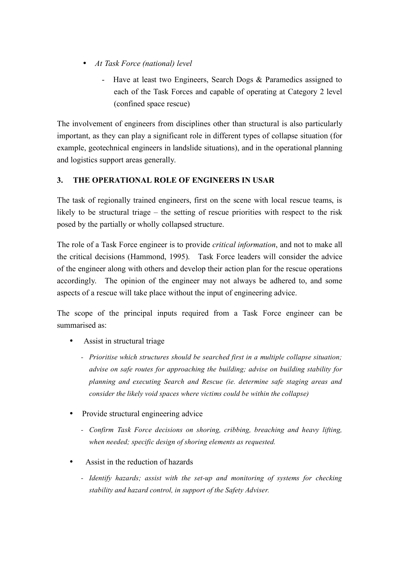- *At Task Force (national) level*
	- Have at least two Engineers, Search Dogs & Paramedics assigned to each of the Task Forces and capable of operating at Category 2 level (confined space rescue)

The involvement of engineers from disciplines other than structural is also particularly important, as they can play a significant role in different types of collapse situation (for example, geotechnical engineers in landslide situations), and in the operational planning and logistics support areas generally.

# **3. THE OPERATIONAL ROLE OF ENGINEERS IN USAR**

The task of regionally trained engineers, first on the scene with local rescue teams, is likely to be structural triage – the setting of rescue priorities with respect to the risk posed by the partially or wholly collapsed structure.

The role of a Task Force engineer is to provide *critical information*, and not to make all the critical decisions (Hammond, 1995). Task Force leaders will consider the advice of the engineer along with others and develop their action plan for the rescue operations accordingly. The opinion of the engineer may not always be adhered to, and some aspects of a rescue will take place without the input of engineering advice.

The scope of the principal inputs required from a Task Force engineer can be summarised as:

- Assist in structural triage
	- *Prioritise which structures should be searched first in a multiple collapse situation; advise on safe routes for approaching the building; advise on building stability for planning and executing Search and Rescue (ie. determine safe staging areas and consider the likely void spaces where victims could be within the collapse)*
- Provide structural engineering advice
	- *Confirm Task Force decisions on shoring, cribbing, breaching and heavy lifting, when needed; specific design of shoring elements as requested.*
- Assist in the reduction of hazards
	- *Identify hazards; assist with the set-up and monitoring of systems for checking stability and hazard control, in support of the Safety Adviser.*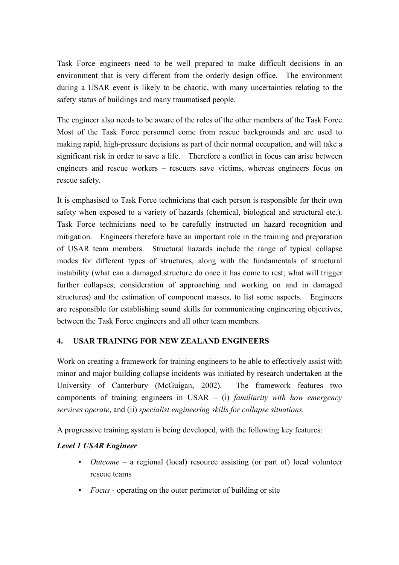Task Force engineers need to be well prepared to make difficult decisions in an environment that is very different from the orderly design office. The environment during a USAR event is likely to be chaotic, with many uncertainties relating to the safety status of buildings and many traumatised people.

The engineer also needs to be aware of the roles of the other members of the Task Force. Most of the Task Force personnel come from rescue backgrounds and are used to making rapid, high-pressure decisions as part of their normal occupation, and will take a significant risk in order to save a life. Therefore a conflict in focus can arise between engineers and rescue workers – rescuers save victims, whereas engineers focus on rescue safety.

It is emphasised to Task Force technicians that each person is responsible for their own safety when exposed to a variety of hazards (chemical, biological and structural etc.). Task Force technicians need to be carefully instructed on hazard recognition and mitigation. Engineers therefore have an important role in the training and preparation of USAR team members. Structural hazards include the range of typical collapse modes for different types of structures, along with the fundamentals of structural instability (what can a damaged structure do once it has come to rest; what will trigger further collapses; consideration of approaching and working on and in damaged structures) and the estimation of component masses, to list some aspects. Engineers are responsible for establishing sound skills for communicating engineering objectives, between the Task Force engineers and all other team members.

# **4. USAR TRAINING FOR NEW ZEALAND ENGINEERS**

Work on creating a framework for training engineers to be able to effectively assist with minor and major building collapse incidents was initiated by research undertaken at the University of Canterbury (McGuigan, 2002). The framework features two components of training engineers in USAR – (i) *familiarity with how emergency services operate*, and (ii) *specialist engineering skills for collapse situations*.

A progressive training system is being developed, with the following key features:

### *Level 1 USAR Engineer*

- *Outcome* a regional (local) resource assisting (or part of) local volunteer rescue teams
- *Focus* operating on the outer perimeter of building or site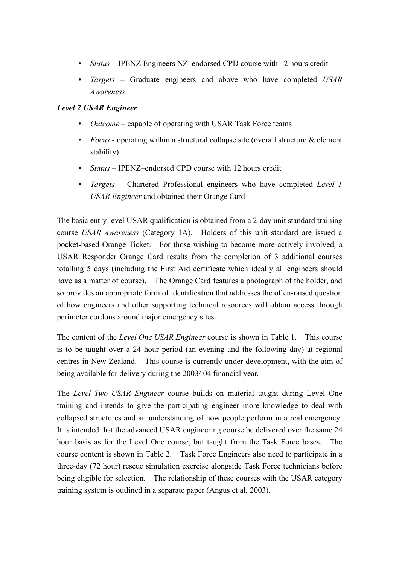- *Status* IPENZ Engineers NZ–endorsed CPD course with 12 hours credit
- *Targets* Graduate engineers and above who have completed *USAR Awareness*

## *Level 2 USAR Engineer*

- *Outcome* capable of operating with USAR Task Force teams
- *Focus* operating within a structural collapse site (overall structure & element stability)
- *Status* IPENZ–endorsed CPD course with 12 hours credit
- *Targets* Chartered Professional engineers who have completed *Level 1 USAR Engineer* and obtained their Orange Card

The basic entry level USAR qualification is obtained from a 2-day unit standard training course *USAR Awareness* (Category 1A). Holders of this unit standard are issued a pocket-based Orange Ticket. For those wishing to become more actively involved, a USAR Responder Orange Card results from the completion of 3 additional courses totalling 5 days (including the First Aid certificate which ideally all engineers should have as a matter of course). The Orange Card features a photograph of the holder, and so provides an appropriate form of identification that addresses the often-raised question of how engineers and other supporting technical resources will obtain access through perimeter cordons around major emergency sites.

The content of the *Level One USAR Engineer* course is shown in Table 1. This course is to be taught over a 24 hour period (an evening and the following day) at regional centres in New Zealand. This course is currently under development, with the aim of being available for delivery during the 2003/ 04 financial year.

The *Level Two USAR Engineer* course builds on material taught during Level One training and intends to give the participating engineer more knowledge to deal with collapsed structures and an understanding of how people perform in a real emergency. It is intended that the advanced USAR engineering course be delivered over the same 24 hour basis as for the Level One course, but taught from the Task Force bases. The course content is shown in Table 2. Task Force Engineers also need to participate in a three-day (72 hour) rescue simulation exercise alongside Task Force technicians before being eligible for selection. The relationship of these courses with the USAR category training system is outlined in a separate paper (Angus et al, 2003).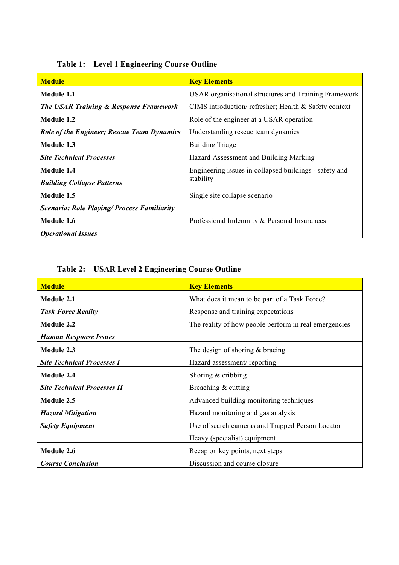| <b>Module</b>                                      | <b>Key Elements</b>                                    |
|----------------------------------------------------|--------------------------------------------------------|
| Module 1.1                                         | USAR organisational structures and Training Framework  |
| <b>The USAR Training &amp; Response Framework</b>  | CIMS introduction/ refresher; Health & Safety context  |
| Module 1.2                                         | Role of the engineer at a USAR operation               |
| <b>Role of the Engineer; Rescue Team Dynamics</b>  | Understanding rescue team dynamics                     |
| Module 1.3                                         | <b>Building Triage</b>                                 |
| <b>Site Technical Processes</b>                    | Hazard Assessment and Building Marking                 |
| Module 1.4                                         | Engineering issues in collapsed buildings - safety and |
| <b>Building Collapse Patterns</b>                  | stability                                              |
| Module 1.5                                         | Single site collapse scenario                          |
| <b>Scenario: Role Playing/ Process Familiarity</b> |                                                        |
| Module 1.6                                         | Professional Indemnity & Personal Insurances           |
| <b>Operational Issues</b>                          |                                                        |

**Table 1: Level 1 Engineering Course Outline**

**Table 2: USAR Level 2 Engineering Course Outline**

| <b>Module</b>                      | <b>Key Elements</b>                                   |
|------------------------------------|-------------------------------------------------------|
| Module 2.1                         | What does it mean to be part of a Task Force?         |
| <b>Task Force Reality</b>          | Response and training expectations                    |
| Module 2.2                         | The reality of how people perform in real emergencies |
| <b>Human Response Issues</b>       |                                                       |
| Module 2.3                         | The design of shoring $&$ bracing                     |
| <b>Site Technical Processes I</b>  | Hazard assessment/reporting                           |
| Module 2.4                         | Shoring $&$ cribbing                                  |
| <b>Site Technical Processes II</b> | Breaching & cutting                                   |
| Module 2.5                         | Advanced building monitoring techniques               |
| <b>Hazard Mitigation</b>           | Hazard monitoring and gas analysis                    |
| <b>Safety Equipment</b>            | Use of search cameras and Trapped Person Locator      |
|                                    | Heavy (specialist) equipment                          |
| Module 2.6                         | Recap on key points, next steps                       |
| <b>Course Conclusion</b>           | Discussion and course closure                         |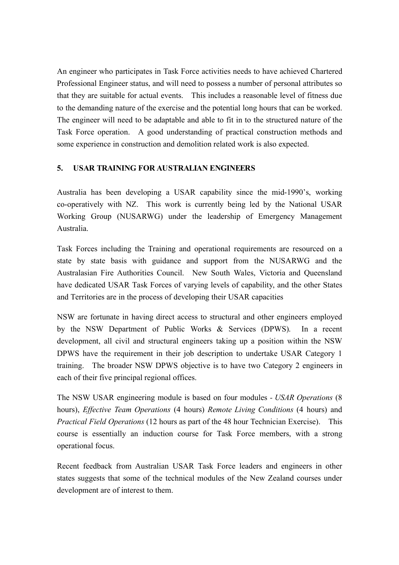An engineer who participates in Task Force activities needs to have achieved Chartered Professional Engineer status, and will need to possess a number of personal attributes so that they are suitable for actual events. This includes a reasonable level of fitness due to the demanding nature of the exercise and the potential long hours that can be worked. The engineer will need to be adaptable and able to fit in to the structured nature of the Task Force operation. A good understanding of practical construction methods and some experience in construction and demolition related work is also expected.

### **5. USAR TRAINING FOR AUSTRALIAN ENGINEERS**

Australia has been developing a USAR capability since the mid-1990's, working co-operatively with NZ. This work is currently being led by the National USAR Working Group (NUSARWG) under the leadership of Emergency Management Australia.

Task Forces including the Training and operational requirements are resourced on a state by state basis with guidance and support from the NUSARWG and the Australasian Fire Authorities Council. New South Wales, Victoria and Queensland have dedicated USAR Task Forces of varying levels of capability, and the other States and Territories are in the process of developing their USAR capacities

NSW are fortunate in having direct access to structural and other engineers employed by the NSW Department of Public Works & Services (DPWS). In a recent development, all civil and structural engineers taking up a position within the NSW DPWS have the requirement in their job description to undertake USAR Category 1 training. The broader NSW DPWS objective is to have two Category 2 engineers in each of their five principal regional offices.

The NSW USAR engineering module is based on four modules *- USAR Operations* (8 hours), *Effective Team Operations* (4 hours) *Remote Living Conditions* (4 hours) and *Practical Field Operations* (12 hours as part of the 48 hour Technician Exercise). This course is essentially an induction course for Task Force members, with a strong operational focus.

Recent feedback from Australian USAR Task Force leaders and engineers in other states suggests that some of the technical modules of the New Zealand courses under development are of interest to them.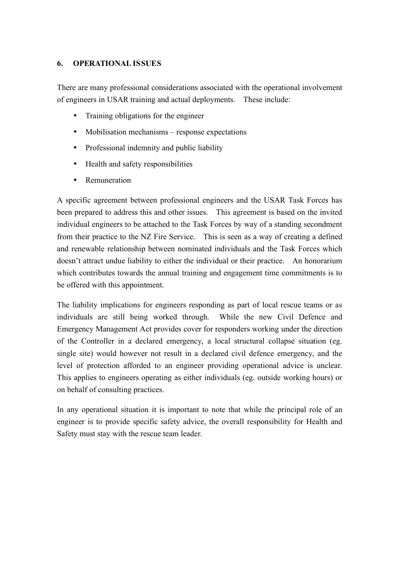### **6. OPERATIONAL ISSUES**

There are many professional considerations associated with the operational involvement of engineers in USAR training and actual deployments. These include:

- Training obligations for the engineer
- Mobilisation mechanisms response expectations
- Professional indemnity and public liability
- Health and safety responsibilities
- Remuneration

A specific agreement between professional engineers and the USAR Task Forces has been prepared to address this and other issues. This agreement is based on the invited individual engineers to be attached to the Task Forces by way of a standing secondment from their practice to the NZ Fire Service. This is seen as a way of creating a defined and renewable relationship between nominated individuals and the Task Forces which doesn't attract undue liability to either the individual or their practice. An honorarium which contributes towards the annual training and engagement time commitments is to be offered with this appointment.

The liability implications for engineers responding as part of local rescue teams or as individuals are still being worked through. While the new Civil Defence and Emergency Management Act provides cover for responders working under the direction of the Controller in a declared emergency, a local structural collapse situation (eg. single site) would however not result in a declared civil defence emergency, and the level of protection afforded to an engineer providing operational advice is unclear. This applies to engineers operating as either individuals (eg. outside working hours) or on behalf of consulting practices.

In any operational situation it is important to note that while the principal role of an engineer is to provide specific safety advice, the overall responsibility for Health and Safety must stay with the rescue team leader.